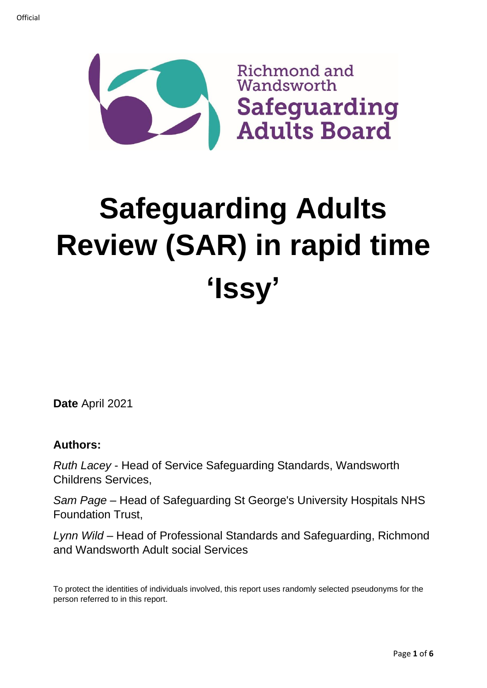

# **Safeguarding Adults Review (SAR) in rapid time 'Issy'**

**Date** April 2021

## **Authors:**

*Ruth Lacey* - Head of Service Safeguarding Standards, Wandsworth Childrens Services,

*Sam Page* – Head of Safeguarding St George's University Hospitals NHS Foundation Trust,

*Lynn Wild* – Head of Professional Standards and Safeguarding, Richmond and Wandsworth Adult social Services

To protect the identities of individuals involved, this report uses randomly selected pseudonyms for the person referred to in this report.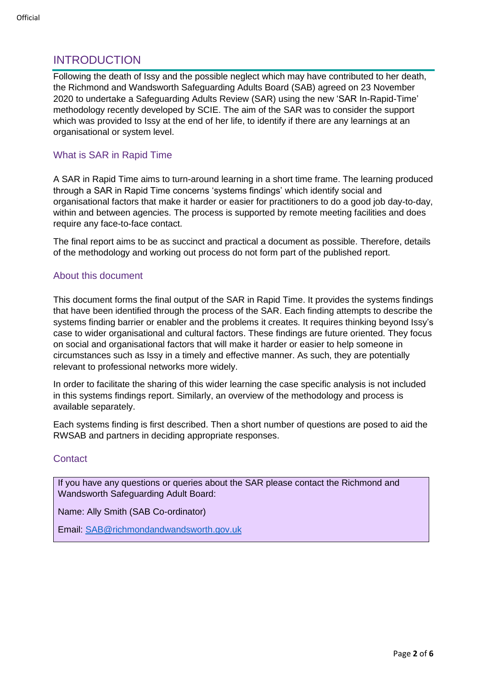# INTRODUCTION

Following the death of Issy and the possible neglect which may have contributed to her death, the Richmond and Wandsworth Safeguarding Adults Board (SAB) agreed on 23 November 2020 to undertake a Safeguarding Adults Review (SAR) using the new 'SAR In-Rapid-Time' methodology recently developed by SCIE. The aim of the SAR was to consider the support which was provided to Issy at the end of her life, to identify if there are any learnings at an organisational or system level.

#### What is SAR in Rapid Time

A SAR in Rapid Time aims to turn-around learning in a short time frame. The learning produced through a SAR in Rapid Time concerns 'systems findings' which identify social and organisational factors that make it harder or easier for practitioners to do a good job day-to-day, within and between agencies. The process is supported by remote meeting facilities and does require any face-to-face contact.

The final report aims to be as succinct and practical a document as possible. Therefore, details of the methodology and working out process do not form part of the published report.

#### About this document

This document forms the final output of the SAR in Rapid Time. It provides the systems findings that have been identified through the process of the SAR. Each finding attempts to describe the systems finding barrier or enabler and the problems it creates. It requires thinking beyond Issy's case to wider organisational and cultural factors. These findings are future oriented. They focus on social and organisational factors that will make it harder or easier to help someone in circumstances such as Issy in a timely and effective manner. As such, they are potentially relevant to professional networks more widely.

In order to facilitate the sharing of this wider learning the case specific analysis is not included in this systems findings report. Similarly, an overview of the methodology and process is available separately.

Each systems finding is first described. Then a short number of questions are posed to aid the RWSAB and partners in deciding appropriate responses.

#### **Contact**

If you have any questions or queries about the SAR please contact the Richmond and Wandsworth Safeguarding Adult Board:

Name: Ally Smith (SAB Co-ordinator)

Email: [SAB@richmondandwandsworth.gov.uk](mailto:SAB@richmondandwandsworth.gov.uk)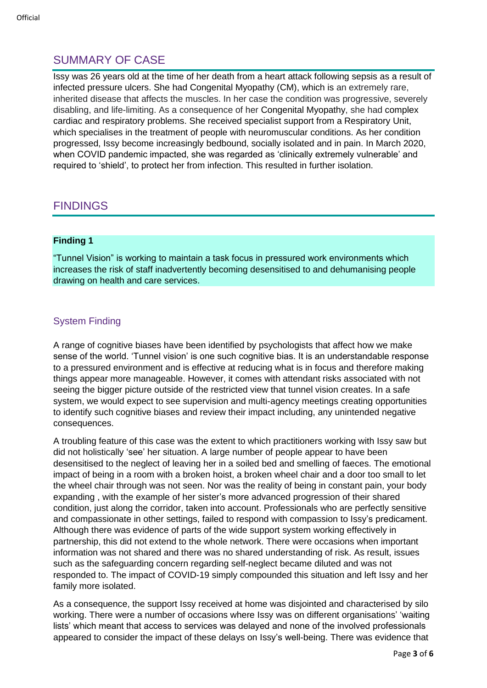# SUMMARY OF CASE

Issy was 26 years old at the time of her death from a heart attack following sepsis as a result of infected pressure ulcers. She had Congenital Myopathy (CM), which is an extremely rare, inherited disease that affects the muscles. In her case the condition was progressive, severely disabling, and life-limiting. As a consequence of her Congenital Myopathy, she had complex cardiac and respiratory problems. She received specialist support from a Respiratory Unit, which specialises in the treatment of people with neuromuscular conditions. As her condition progressed, Issy become increasingly bedbound, socially isolated and in pain. In March 2020, when COVID pandemic impacted, she was regarded as 'clinically extremely vulnerable' and required to 'shield', to protect her from infection. This resulted in further isolation.

# FINDINGS

#### **Finding 1**

"Tunnel Vision" is working to maintain a task focus in pressured work environments which increases the risk of staff inadvertently becoming desensitised to and dehumanising people drawing on health and care services.

### System Finding

A range of cognitive biases have been identified by psychologists that affect how we make sense of the world. 'Tunnel vision' is one such cognitive bias. It is an understandable response to a pressured environment and is effective at reducing what is in focus and therefore making things appear more manageable. However, it comes with attendant risks associated with not seeing the bigger picture outside of the restricted view that tunnel vision creates. In a safe system, we would expect to see supervision and multi-agency meetings creating opportunities to identify such cognitive biases and review their impact including, any unintended negative consequences.

A troubling feature of this case was the extent to which practitioners working with Issy saw but did not holistically 'see' her situation. A large number of people appear to have been desensitised to the neglect of leaving her in a soiled bed and smelling of faeces. The emotional impact of being in a room with a broken hoist, a broken wheel chair and a door too small to let the wheel chair through was not seen. Nor was the reality of being in constant pain, your body expanding , with the example of her sister's more advanced progression of their shared condition, just along the corridor, taken into account. Professionals who are perfectly sensitive and compassionate in other settings, failed to respond with compassion to Issy's predicament. Although there was evidence of parts of the wide support system working effectively in partnership, this did not extend to the whole network. There were occasions when important information was not shared and there was no shared understanding of risk. As result, issues such as the safeguarding concern regarding self-neglect became diluted and was not responded to. The impact of COVID-19 simply compounded this situation and left Issy and her family more isolated.

As a consequence, the support Issy received at home was disjointed and characterised by silo working. There were a number of occasions where Issy was on different organisations' 'waiting lists' which meant that access to services was delayed and none of the involved professionals appeared to consider the impact of these delays on Issy's well-being. There was evidence that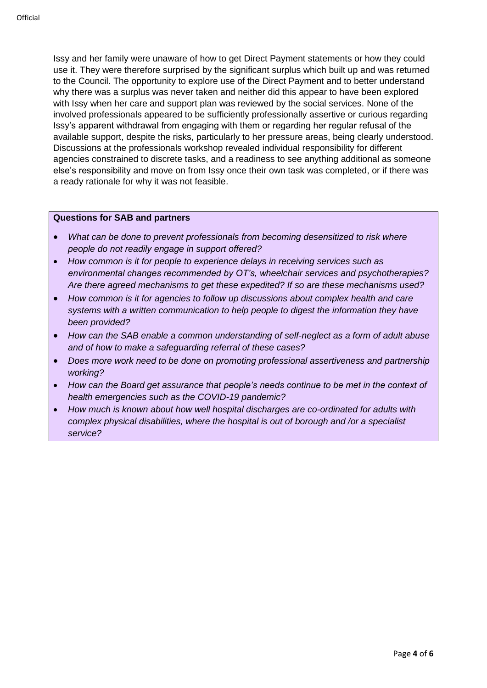Issy and her family were unaware of how to get Direct Payment statements or how they could use it. They were therefore surprised by the significant surplus which built up and was returned to the Council. The opportunity to explore use of the Direct Payment and to better understand why there was a surplus was never taken and neither did this appear to have been explored with Issy when her care and support plan was reviewed by the social services. None of the involved professionals appeared to be sufficiently professionally assertive or curious regarding Issy's apparent withdrawal from engaging with them or regarding her regular refusal of the available support, despite the risks, particularly to her pressure areas, being clearly understood. Discussions at the professionals workshop revealed individual responsibility for different agencies constrained to discrete tasks, and a readiness to see anything additional as someone else's responsibility and move on from Issy once their own task was completed, or if there was a ready rationale for why it was not feasible.

#### **Questions for SAB and partners**

- *What can be done to prevent professionals from becoming desensitized to risk where people do not readily engage in support offered?*
- *How common is it for people to experience delays in receiving services such as environmental changes recommended by OT's, wheelchair services and psychotherapies? Are there agreed mechanisms to get these expedited? If so are these mechanisms used?*
- *How common is it for agencies to follow up discussions about complex health and care systems with a written communication to help people to digest the information they have been provided?*
- *How can the SAB enable a common understanding of self-neglect as a form of adult abuse and of how to make a safeguarding referral of these cases?*
- *Does more work need to be done on promoting professional assertiveness and partnership working?*
- *How can the Board get assurance that people's needs continue to be met in the context of health emergencies such as the COVID-19 pandemic?*
- *How much is known about how well hospital discharges are co-ordinated for adults with complex physical disabilities, where the hospital is out of borough and /or a specialist service?*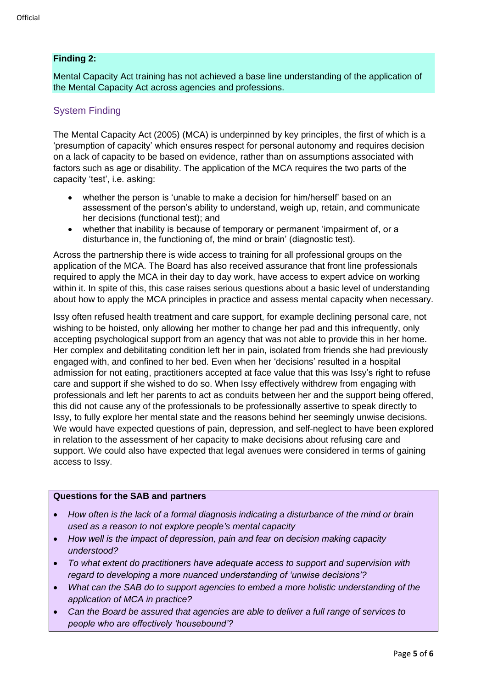#### **Finding 2:**

Mental Capacity Act training has not achieved a base line understanding of the application of the Mental Capacity Act across agencies and professions.

## System Finding

The Mental Capacity Act (2005) (MCA) is underpinned by key principles, the first of which is a 'presumption of capacity' which ensures respect for personal autonomy and requires decision on a lack of capacity to be based on evidence, rather than on assumptions associated with factors such as age or disability. The application of the MCA requires the two parts of the capacity 'test', i.e. asking:

- whether the person is 'unable to make a decision for him/herself' based on an assessment of the person's ability to understand, weigh up, retain, and communicate her decisions (functional test); and
- whether that inability is because of temporary or permanent 'impairment of, or a disturbance in, the functioning of, the mind or brain' (diagnostic test).

Across the partnership there is wide access to training for all professional groups on the application of the MCA. The Board has also received assurance that front line professionals required to apply the MCA in their day to day work, have access to expert advice on working within it. In spite of this, this case raises serious questions about a basic level of understanding about how to apply the MCA principles in practice and assess mental capacity when necessary.

Issy often refused health treatment and care support, for example declining personal care, not wishing to be hoisted, only allowing her mother to change her pad and this infrequently, only accepting psychological support from an agency that was not able to provide this in her home. Her complex and debilitating condition left her in pain, isolated from friends she had previously engaged with, and confined to her bed. Even when her 'decisions' resulted in a hospital admission for not eating, practitioners accepted at face value that this was Issy's right to refuse care and support if she wished to do so. When Issy effectively withdrew from engaging with professionals and left her parents to act as conduits between her and the support being offered, this did not cause any of the professionals to be professionally assertive to speak directly to Issy, to fully explore her mental state and the reasons behind her seemingly unwise decisions. We would have expected questions of pain, depression, and self-neglect to have been explored in relation to the assessment of her capacity to make decisions about refusing care and support. We could also have expected that legal avenues were considered in terms of gaining access to Issy.

#### **Questions for the SAB and partners**

- *How often is the lack of a formal diagnosis indicating a disturbance of the mind or brain used as a reason to not explore people's mental capacity*
- *How well is the impact of depression, pain and fear on decision making capacity understood?*
- *To what extent do practitioners have adequate access to support and supervision with regard to developing a more nuanced understanding of 'unwise decisions'?*
- *What can the SAB do to support agencies to embed a more holistic understanding of the application of MCA in practice?*
- *Can the Board be assured that agencies are able to deliver a full range of services to people who are effectively 'housebound'?*